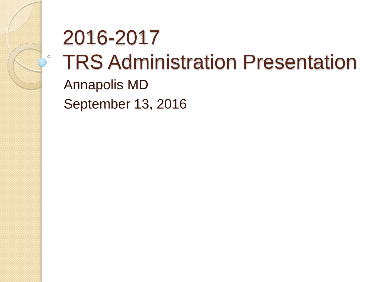# 2016-2017 TRS Administration Presentation

Annapolis MD September 13, 2016

 $\circ$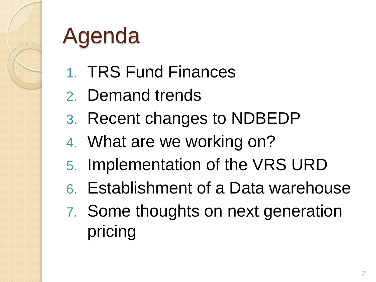

# Agenda

- 1. TRS Fund Finances
- 2. Demand trends
- 3. Recent changes to NDBEDP
- 4. What are we working on?
- 5. Implementation of the VRS URD
- 6. Establishment of a Data warehouse
- 7. Some thoughts on next generation pricing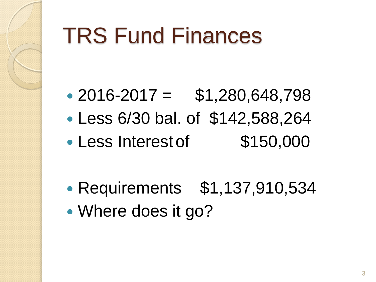### TRS Fund Finances

- $\cdot$  2016-2017 = \$1,280,648,798
- Less 6/30 bal. of \$142,588,264
- Less Interest of \$150,000
- Requirements \$1,137,910,534
- Where does it go?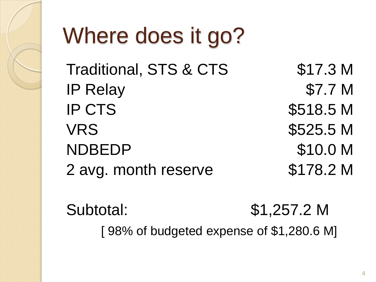

# Where does it go?

Traditional, STS & CTS \$17.3 M IP Relay \$7.7 M IP CTS \$518.5 M VRS \$525.5 M NDBEDP \$10.0 M 2 avg. month reserve \$178.2 M

Subtotal: \$1,257.2 M [ 98% of budgeted expense of \$1,280.6 M]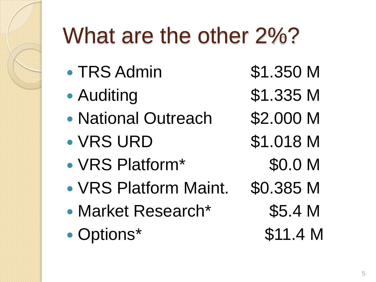# What are the other 2%?

- TRS Admin \$1.350 M
- 
- National Outreach \$2.000 M
- VRS URD \$1.018 M
- VRS Platform\* \$0.0 M
- VRS Platform Maint. \$0.385 M
- Market Research\* \$5.4 M
- Options\* \$11.4 M
- 
- Auditing \$1.335 M
	-
	- -
	- -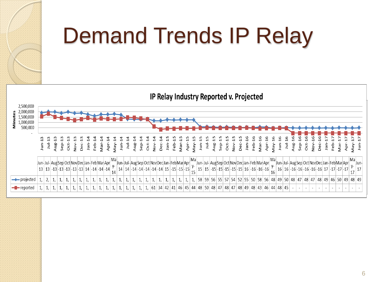

# Demand Trends IP Relay

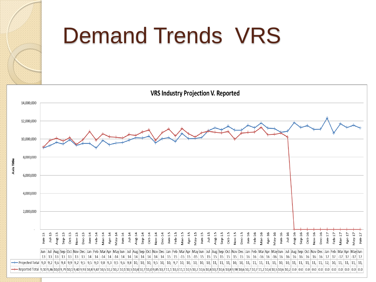

#### Demand Trends VRS

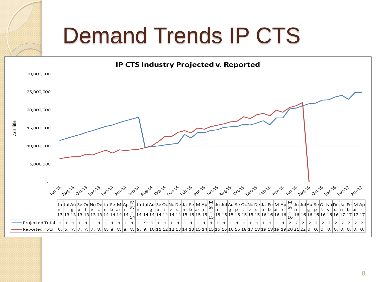### Demand Trends IP CTS

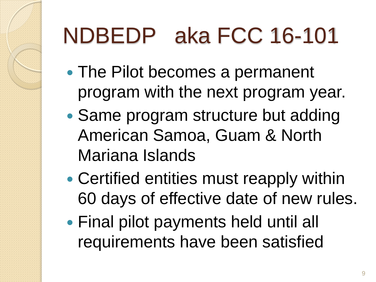# NDBEDP aka FCC 16-101

- The Pilot becomes a permanent program with the next program year.
- Same program structure but adding American Samoa, Guam & North Mariana Islands
- Certified entities must reapply within 60 days of effective date of new rules.
- Final pilot payments held until all requirements have been satisfied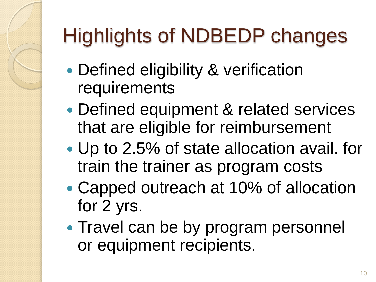# Highlights of NDBEDP changes

- Defined eligibility & verification requirements
- Defined equipment & related services that are eligible for reimbursement
- Up to 2.5% of state allocation avail. for train the trainer as program costs
- Capped outreach at 10% of allocation for 2 yrs.
- Travel can be by program personnel or equipment recipients.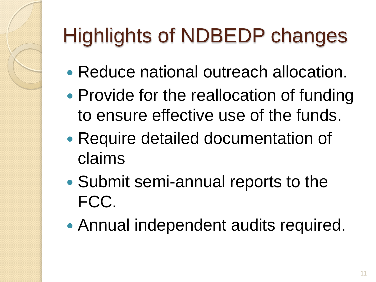### Highlights of NDBEDP changes

- Reduce national outreach allocation.
- Provide for the reallocation of funding to ensure effective use of the funds.
- Require detailed documentation of claims
- Submit semi-annual reports to the FCC.
- Annual independent audits required.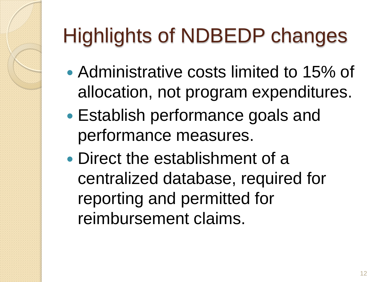# Highlights of NDBEDP changes

- Administrative costs limited to 15% of allocation, not program expenditures.
- Establish performance goals and performance measures.
- Direct the establishment of a centralized database, required for reporting and permitted for reimbursement claims.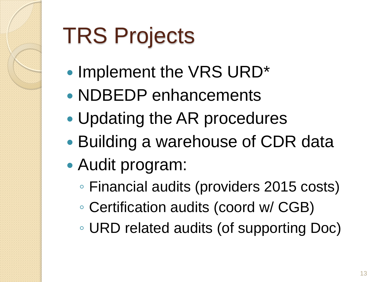# TRS Projects

- Implement the VRS URD\*
- NDBEDP enhancements
- Updating the AR procedures
- Building a warehouse of CDR data
- Audit program:
	- Financial audits (providers 2015 costs)
	- Certification audits (coord w/ CGB)
	- URD related audits (of supporting Doc)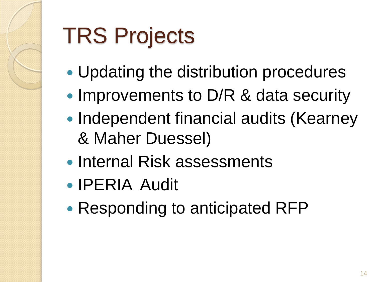# TRS Projects

- Updating the distribution procedures
- Improvements to D/R & data security
- Independent financial audits (Kearney & Maher Duessel)
- Internal Risk assessments
- IPERIA Audit
- Responding to anticipated RFP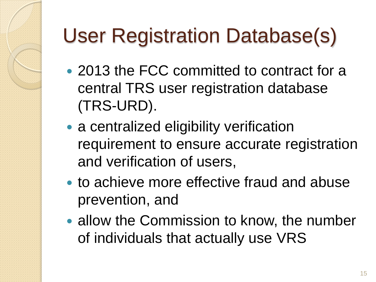# User Registration Database(s)

- 2013 the FCC committed to contract for a central TRS user registration database (TRS-URD).
- a centralized eligibility verification requirement to ensure accurate registration and verification of users,
- to achieve more effective fraud and abuse prevention, and
- allow the Commission to know, the number of individuals that actually use VRS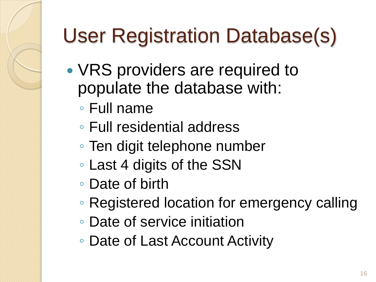# User Registration Database(s)

- VRS providers are required to populate the database with:
	- Full name
	- Full residential address
	- Ten digit telephone number
	- Last 4 digits of the SSN
	- Date of birth
	- Registered location for emergency calling
	- Date of service initiation
	- Date of Last Account Activity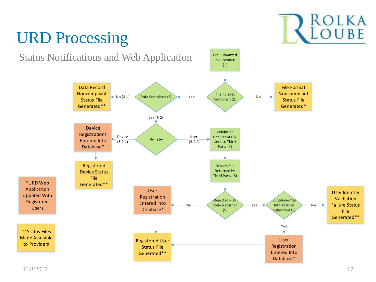

#### URD Processing

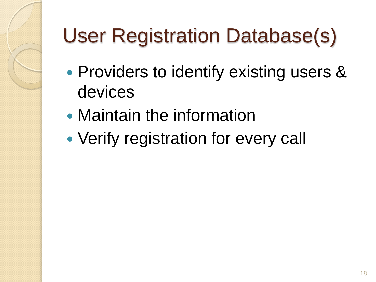# User Registration Database(s)

- Providers to identify existing users & devices
- Maintain the information
- Verify registration for every call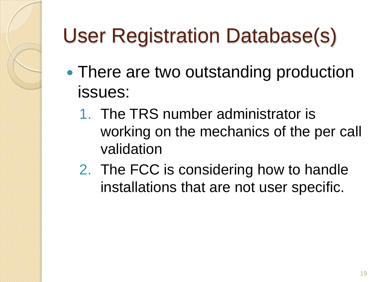# User Registration Database(s)

- There are two outstanding production issues:
	- 1. The TRS number administrator is working on the mechanics of the per call validation
	- 2. The FCC is considering how to handle installations that are not user specific.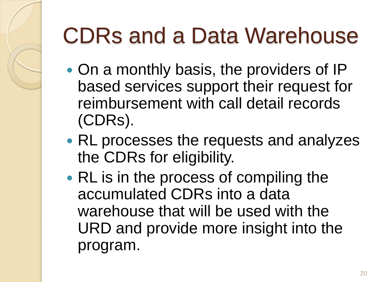# CDRs and a Data Warehouse

- On a monthly basis, the providers of IP based services support their request for reimbursement with call detail records (CDRs).
- RL processes the requests and analyzes the CDRs for eligibility.
- RL is in the process of compiling the accumulated CDRs into a data warehouse that will be used with the URD and provide more insight into the program.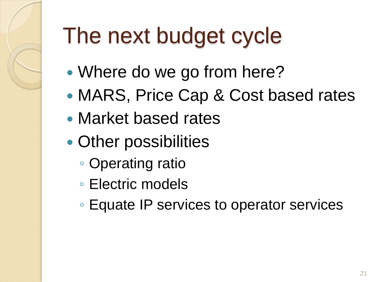# The next budget cycle

- Where do we go from here?
- MARS, Price Cap & Cost based rates
- Market based rates
- Other possibilities
	- Operating ratio
	- Electric models
	- Equate IP services to operator services